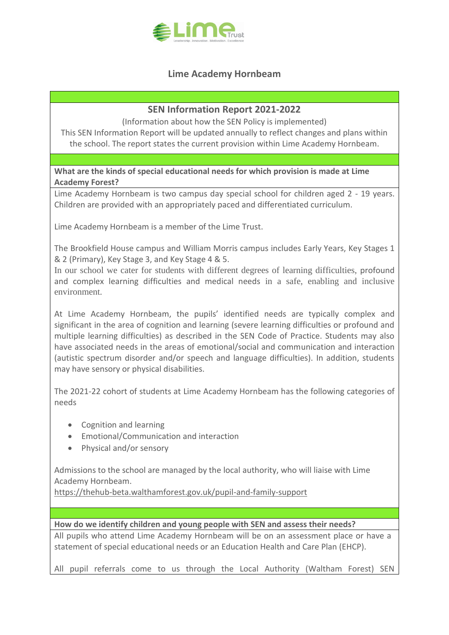

# **Lime Academy Hornbeam**

# **SEN Information Report 2021-2022**

(Information about how the SEN Policy is implemented)

This SEN Information Report will be updated annually to reflect changes and plans within the school. The report states the current provision within Lime Academy Hornbeam.

**What are the kinds of special educational needs for which provision is made at Lime Academy Forest?**

Lime Academy Hornbeam is two campus day special school for children aged 2 - 19 years. Children are provided with an appropriately paced and differentiated curriculum.

Lime Academy Hornbeam is a member of the Lime Trust.

The Brookfield House campus and William Morris campus includes Early Years, Key Stages 1 & 2 (Primary), Key Stage 3, and Key Stage 4 & 5.

In our school we cater for students with different degrees of learning difficulties, profound and complex learning difficulties and medical needs in a safe, enabling and inclusive environment.

At Lime Academy Hornbeam, the pupils' identified needs are typically complex and significant in the area of cognition and learning (severe learning difficulties or profound and multiple learning difficulties) as described in the SEN Code of Practice. Students may also have associated needs in the areas of emotional/social and communication and interaction (autistic spectrum disorder and/or speech and language difficulties). In addition, students may have sensory or physical disabilities.

The 2021-22 cohort of students at Lime Academy Hornbeam has the following categories of needs

- Cognition and learning
- Emotional/Communication and interaction
- Physical and/or sensory

Admissions to the school are managed by the local authority, who will liaise with Lime Academy Hornbeam.

<https://thehub-beta.walthamforest.gov.uk/pupil-and-family-support>

**How do we identify children and young people with SEN and assess their needs?**

All pupils who attend Lime Academy Hornbeam will be on an assessment place or have a statement of special educational needs or an Education Health and Care Plan (EHCP).

All pupil referrals come to us through the Local Authority (Waltham Forest) SEN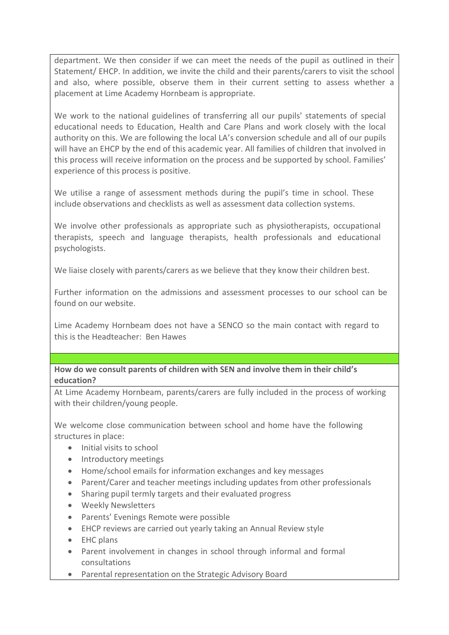department. We then consider if we can meet the needs of the pupil as outlined in their Statement/ EHCP. In addition, we invite the child and their parents/carers to visit the school and also, where possible, observe them in their current setting to assess whether a placement at Lime Academy Hornbeam is appropriate.

We work to the national guidelines of transferring all our pupils' statements of special educational needs to Education, Health and Care Plans and work closely with the local authority on this. We are following the local LA's conversion schedule and all of our pupils will have an EHCP by the end of this academic year. All families of children that involved in this process will receive information on the process and be supported by school. Families' experience of this process is positive.

We utilise a range of assessment methods during the pupil's time in school. These include observations and checklists as well as assessment data collection systems.

We involve other professionals as appropriate such as physiotherapists, occupational therapists, speech and language therapists, health professionals and educational psychologists.

We liaise closely with parents/carers as we believe that they know their children best.

Further information on the admissions and assessment processes to our school can be found on our website.

Lime Academy Hornbeam does not have a SENCO so the main contact with regard to this is the Headteacher: Ben Hawes

**How do we consult parents of children with SEN and involve them in their child's education?**

At Lime Academy Hornbeam, parents/carers are fully included in the process of working with their children/young people.

We welcome close communication between school and home have the following structures in place:

- Initial visits to school
- Introductory meetings
- Home/school emails for information exchanges and key messages
- Parent/Carer and teacher meetings including updates from other professionals
- Sharing pupil termly targets and their evaluated progress
- Weekly Newsletters
- Parents' Evenings Remote were possible
- EHCP reviews are carried out yearly taking an Annual Review style
- EHC plans
- Parent involvement in changes in school through informal and formal consultations
- Parental representation on the Strategic Advisory Board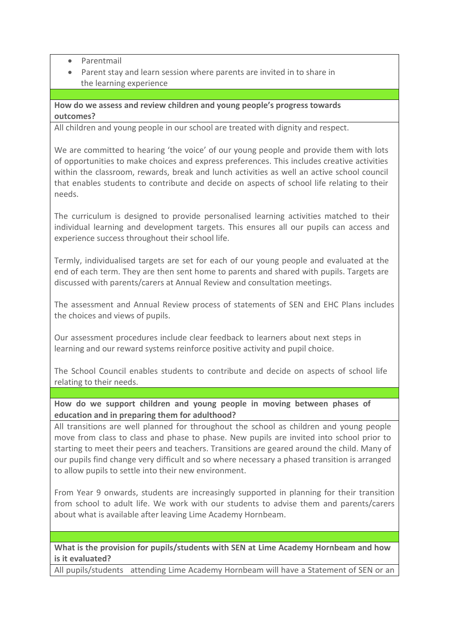- Parentmail
- Parent stay and learn session where parents are invited in to share in the learning experience

#### **How do we assess and review children and young people's progress towards outcomes?**

All children and young people in our school are treated with dignity and respect.

We are committed to hearing 'the voice' of our young people and provide them with lots of opportunities to make choices and express preferences. This includes creative activities within the classroom, rewards, break and lunch activities as well an active school council that enables students to contribute and decide on aspects of school life relating to their needs.

The curriculum is designed to provide personalised learning activities matched to their individual learning and development targets. This ensures all our pupils can access and experience success throughout their school life.

Termly, individualised targets are set for each of our young people and evaluated at the end of each term. They are then sent home to parents and shared with pupils. Targets are discussed with parents/carers at Annual Review and consultation meetings.

The assessment and Annual Review process of statements of SEN and EHC Plans includes the choices and views of pupils.

Our assessment procedures include clear feedback to learners about next steps in learning and our reward systems reinforce positive activity and pupil choice.

The School Council enables students to contribute and decide on aspects of school life relating to their needs.

**How do we support children and young people in moving between phases of education and in preparing them for adulthood?**

All transitions are well planned for throughout the school as children and young people move from class to class and phase to phase. New pupils are invited into school prior to starting to meet their peers and teachers. Transitions are geared around the child. Many of our pupils find change very difficult and so where necessary a phased transition is arranged to allow pupils to settle into their new environment.

From Year 9 onwards, students are increasingly supported in planning for their transition from school to adult life. We work with our students to advise them and parents/carers about what is available after leaving Lime Academy Hornbeam.

**What is the provision for pupils/students with SEN at Lime Academy Hornbeam and how is it evaluated?**

All pupils/students attending Lime Academy Hornbeam will have a Statement of SEN or an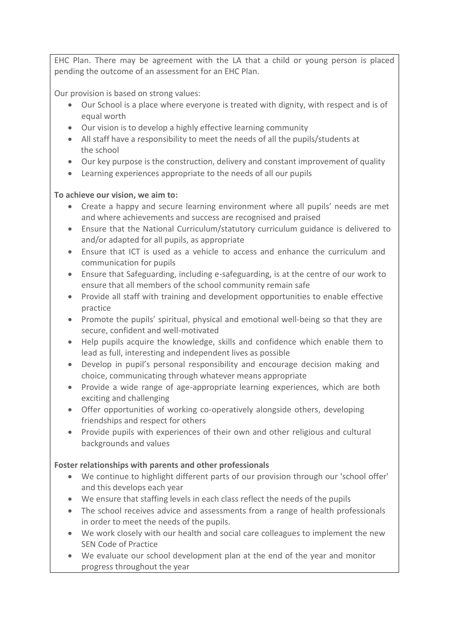EHC Plan. There may be agreement with the LA that a child or young person is placed pending the outcome of an assessment for an EHC Plan.

Our provision is based on strong values:

- Our School is a place where everyone is treated with dignity, with respect and is of equal worth
- Our vision is to develop a highly effective learning community
- All staff have a responsibility to meet the needs of all the pupils/students at the school
- Our key purpose is the construction, delivery and constant improvement of quality
- Learning experiences appropriate to the needs of all our pupils

## **To achieve our vision, we aim to:**

- Create a happy and secure learning environment where all pupils' needs are met and where achievements and success are recognised and praised
- Ensure that the National Curriculum/statutory curriculum guidance is delivered to and/or adapted for all pupils, as appropriate
- Ensure that ICT is used as a vehicle to access and enhance the curriculum and communication for pupils
- Ensure that Safeguarding, including e-safeguarding, is at the centre of our work to ensure that all members of the school community remain safe
- Provide all staff with training and development opportunities to enable effective practice
- Promote the pupils' spiritual, physical and emotional well-being so that they are secure, confident and well-motivated
- Help pupils acquire the knowledge, skills and confidence which enable them to lead as full, interesting and independent lives as possible
- Develop in pupil's personal responsibility and encourage decision making and choice, communicating through whatever means appropriate
- Provide a wide range of age-appropriate learning experiences, which are both exciting and challenging
- Offer opportunities of working co-operatively alongside others, developing friendships and respect for others
- Provide pupils with experiences of their own and other religious and cultural backgrounds and values

## **Foster relationships with parents and other professionals**

- We continue to highlight different parts of our provision through our 'school offer' and this develops each year
- We ensure that staffing levels in each class reflect the needs of the pupils
- The school receives advice and assessments from a range of health professionals in order to meet the needs of the pupils.
- We work closely with our health and social care colleagues to implement the new SEN Code of Practice
- We evaluate our school development plan at the end of the year and monitor progress throughout the year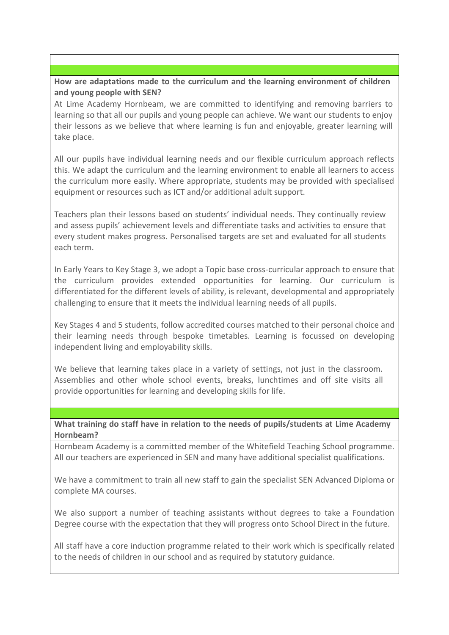**How are adaptations made to the curriculum and the learning environment of children and young people with SEN?**

At Lime Academy Hornbeam, we are committed to identifying and removing barriers to learning so that all our pupils and young people can achieve. We want our students to enjoy their lessons as we believe that where learning is fun and enjoyable, greater learning will take place.

All our pupils have individual learning needs and our flexible curriculum approach reflects this. We adapt the curriculum and the learning environment to enable all learners to access the curriculum more easily. Where appropriate, students may be provided with specialised equipment or resources such as ICT and/or additional adult support.

Teachers plan their lessons based on students' individual needs. They continually review and assess pupils' achievement levels and differentiate tasks and activities to ensure that every student makes progress. Personalised targets are set and evaluated for all students each term.

In Early Years to Key Stage 3, we adopt a Topic base cross-curricular approach to ensure that the curriculum provides extended opportunities for learning. Our curriculum is differentiated for the different levels of ability, is relevant, developmental and appropriately challenging to ensure that it meets the individual learning needs of all pupils.

Key Stages 4 and 5 students, follow accredited courses matched to their personal choice and their learning needs through bespoke timetables. Learning is focussed on developing independent living and employability skills.

We believe that learning takes place in a variety of settings, not just in the classroom. Assemblies and other whole school events, breaks, lunchtimes and off site visits all provide opportunities for learning and developing skills for life.

**What training do staff have in relation to the needs of pupils/students at Lime Academy Hornbeam?**

Hornbeam Academy is a committed member of the Whitefield Teaching School programme. All our teachers are experienced in SEN and many have additional specialist qualifications.

We have a commitment to train all new staff to gain the specialist SEN Advanced Diploma or complete MA courses.

We also support a number of teaching assistants without degrees to take a Foundation Degree course with the expectation that they will progress onto School Direct in the future.

All staff have a core induction programme related to their work which is specifically related to the needs of children in our school and as required by statutory guidance.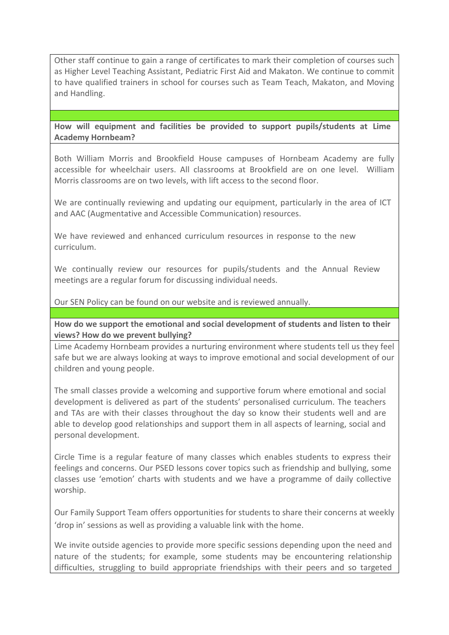Other staff continue to gain a range of certificates to mark their completion of courses such as Higher Level Teaching Assistant, Pediatric First Aid and Makaton. We continue to commit to have qualified trainers in school for courses such as Team Teach, Makaton, and Moving and Handling.

**How will equipment and facilities be provided to support pupils/students at Lime Academy Hornbeam?**

Both William Morris and Brookfield House campuses of Hornbeam Academy are fully accessible for wheelchair users. All classrooms at Brookfield are on one level. William Morris classrooms are on two levels, with lift access to the second floor.

We are continually reviewing and updating our equipment, particularly in the area of ICT and AAC (Augmentative and Accessible Communication) resources.

We have reviewed and enhanced curriculum resources in response to the new curriculum.

We continually review our resources for pupils/students and the Annual Review meetings are a regular forum for discussing individual needs.

Our SEN Policy can be found on our website and is reviewed annually.

**How do we support the emotional and social development of students and listen to their views? How do we prevent bullying?**

Lime Academy Hornbeam provides a nurturing environment where students tell us they feel safe but we are always looking at ways to improve emotional and social development of our children and young people.

The small classes provide a welcoming and supportive forum where emotional and social development is delivered as part of the students' personalised curriculum. The teachers and TAs are with their classes throughout the day so know their students well and are able to develop good relationships and support them in all aspects of learning, social and personal development.

Circle Time is a regular feature of many classes which enables students to express their feelings and concerns. Our PSED lessons cover topics such as friendship and bullying, some classes use 'emotion' charts with students and we have a programme of daily collective worship.

Our Family Support Team offers opportunities for students to share their concerns at weekly 'drop in' sessions as well as providing a valuable link with the home.

We invite outside agencies to provide more specific sessions depending upon the need and nature of the students; for example, some students may be encountering relationship difficulties, struggling to build appropriate friendships with their peers and so targeted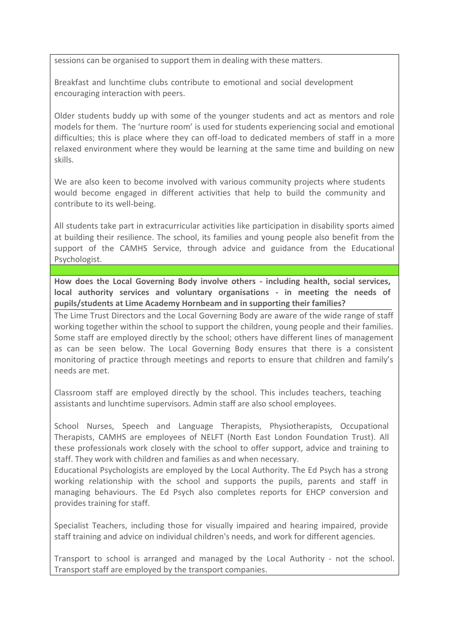sessions can be organised to support them in dealing with these matters.

Breakfast and lunchtime clubs contribute to emotional and social development encouraging interaction with peers.

Older students buddy up with some of the younger students and act as mentors and role models for them. The 'nurture room' is used for students experiencing social and emotional difficulties; this is place where they can off-load to dedicated members of staff in a more relaxed environment where they would be learning at the same time and building on new skills.

We are also keen to become involved with various community projects where students would become engaged in different activities that help to build the community and contribute to its well-being.

All students take part in extracurricular activities like participation in disability sports aimed at building their resilience. The school, its families and young people also benefit from the support of the CAMHS Service, through advice and guidance from the Educational Psychologist.

**How does the Local Governing Body involve others - including health, social services, local authority services and voluntary organisations - in meeting the needs of pupils/students at Lime Academy Hornbeam and in supporting their families?**

The Lime Trust Directors and the Local Governing Body are aware of the wide range of staff working together within the school to support the children, young people and their families. Some staff are employed directly by the school; others have different lines of management as can be seen below. The Local Governing Body ensures that there is a consistent monitoring of practice through meetings and reports to ensure that children and family's needs are met.

Classroom staff are employed directly by the school. This includes teachers, teaching assistants and lunchtime supervisors. Admin staff are also school employees.

School Nurses, Speech and Language Therapists, Physiotherapists, Occupational Therapists, CAMHS are employees of NELFT (North East London Foundation Trust). All these professionals work closely with the school to offer support, advice and training to staff. They work with children and families as and when necessary.

Educational Psychologists are employed by the Local Authority. The Ed Psych has a strong working relationship with the school and supports the pupils, parents and staff in managing behaviours. The Ed Psych also completes reports for EHCP conversion and provides training for staff.

Specialist Teachers, including those for visually impaired and hearing impaired, provide staff training and advice on individual children's needs, and work for different agencies.

Transport to school is arranged and managed by the Local Authority - not the school. Transport staff are employed by the transport companies.